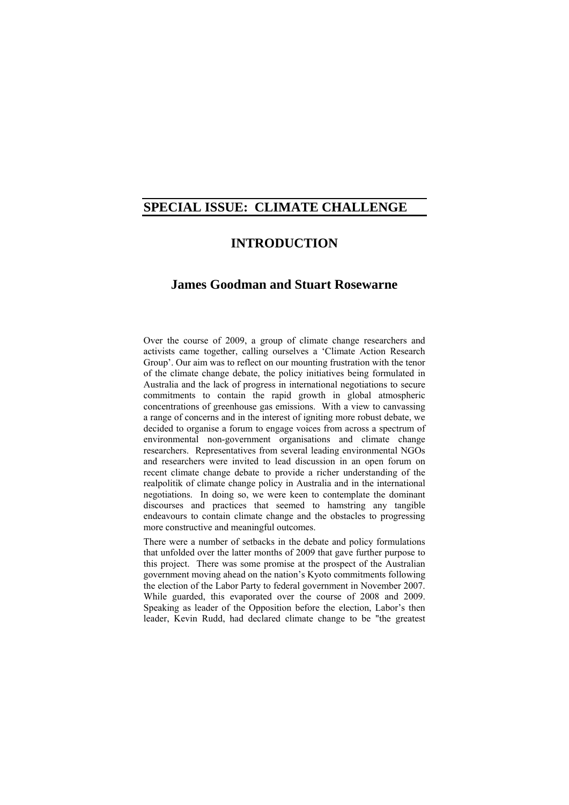# **SPECIAL ISSUE: CLIMATE CHALLENGE**

## **INTRODUCTION**

## **James Goodman and Stuart Rosewarne**

Over the course of 2009, a group of climate change researchers and activists came together, calling ourselves a 'Climate Action Research Group'. Our aim was to reflect on our mounting frustration with the tenor of the climate change debate, the policy initiatives being formulated in Australia and the lack of progress in international negotiations to secure commitments to contain the rapid growth in global atmospheric concentrations of greenhouse gas emissions. With a view to canvassing a range of concerns and in the interest of igniting more robust debate, we decided to organise a forum to engage voices from across a spectrum of environmental non-government organisations and climate change researchers. Representatives from several leading environmental NGOs and researchers were invited to lead discussion in an open forum on recent climate change debate to provide a richer understanding of the realpolitik of climate change policy in Australia and in the international negotiations. In doing so, we were keen to contemplate the dominant discourses and practices that seemed to hamstring any tangible endeavours to contain climate change and the obstacles to progressing more constructive and meaningful outcomes.

There were a number of setbacks in the debate and policy formulations that unfolded over the latter months of 2009 that gave further purpose to this project. There was some promise at the prospect of the Australian government moving ahead on the nation's Kyoto commitments following the election of the Labor Party to federal government in November 2007. While guarded, this evaporated over the course of 2008 and 2009. Speaking as leader of the Opposition before the election, Labor's then leader, Kevin Rudd, had declared climate change to be "the greatest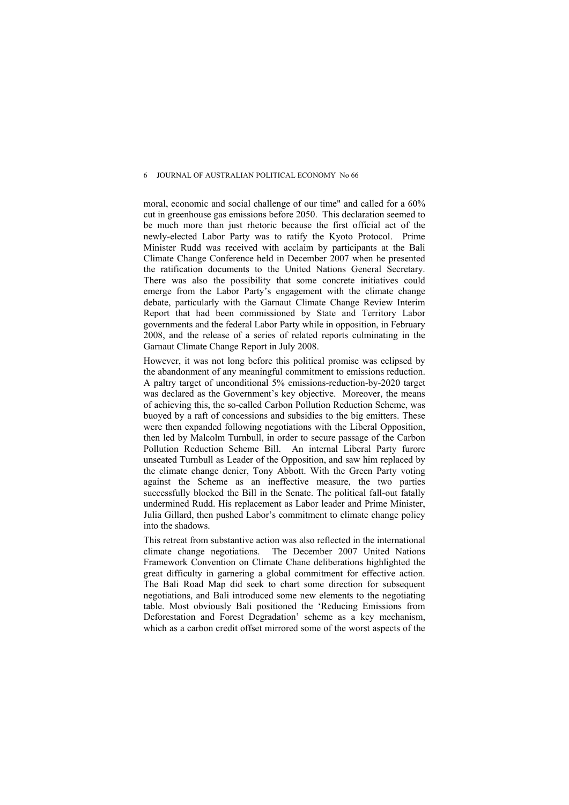moral, economic and social challenge of our time" and called for a 60% cut in greenhouse gas emissions before 2050. This declaration seemed to be much more than just rhetoric because the first official act of the newly-elected Labor Party was to ratify the Kyoto Protocol. Prime Minister Rudd was received with acclaim by participants at the Bali Climate Change Conference held in December 2007 when he presented the ratification documents to the United Nations General Secretary. There was also the possibility that some concrete initiatives could emerge from the Labor Party's engagement with the climate change debate, particularly with the Garnaut Climate Change Review Interim Report that had been commissioned by State and Territory Labor governments and the federal Labor Party while in opposition, in February 2008, and the release of a series of related reports culminating in the Garnaut Climate Change Report in July 2008.

However, it was not long before this political promise was eclipsed by the abandonment of any meaningful commitment to emissions reduction. A paltry target of unconditional 5% emissions-reduction-by-2020 target was declared as the Government's key objective. Moreover, the means of achieving this, the so-called Carbon Pollution Reduction Scheme, was buoyed by a raft of concessions and subsidies to the big emitters. These were then expanded following negotiations with the Liberal Opposition, then led by Malcolm Turnbull, in order to secure passage of the Carbon Pollution Reduction Scheme Bill. An internal Liberal Party furore unseated Turnbull as Leader of the Opposition, and saw him replaced by the climate change denier, Tony Abbott. With the Green Party voting against the Scheme as an ineffective measure, the two parties successfully blocked the Bill in the Senate. The political fall-out fatally undermined Rudd. His replacement as Labor leader and Prime Minister, Julia Gillard, then pushed Labor's commitment to climate change policy into the shadows.

This retreat from substantive action was also reflected in the international climate change negotiations. The December 2007 United Nations Framework Convention on Climate Chane deliberations highlighted the great difficulty in garnering a global commitment for effective action. The Bali Road Map did seek to chart some direction for subsequent negotiations, and Bali introduced some new elements to the negotiating table. Most obviously Bali positioned the 'Reducing Emissions from Deforestation and Forest Degradation' scheme as a key mechanism, which as a carbon credit offset mirrored some of the worst aspects of the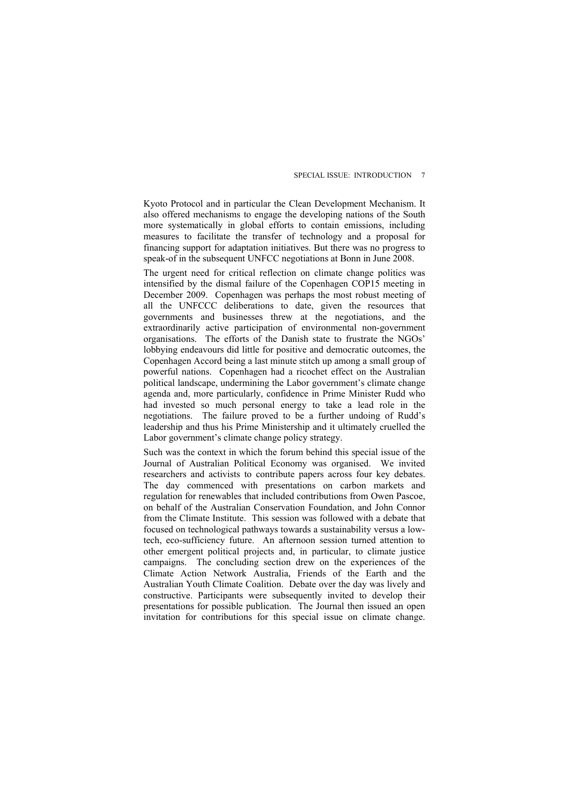Kyoto Protocol and in particular the Clean Development Mechanism. It also offered mechanisms to engage the developing nations of the South more systematically in global efforts to contain emissions, including measures to facilitate the transfer of technology and a proposal for financing support for adaptation initiatives. But there was no progress to speak-of in the subsequent UNFCC negotiations at Bonn in June 2008.

The urgent need for critical reflection on climate change politics was intensified by the dismal failure of the Copenhagen COP15 meeting in December 2009. Copenhagen was perhaps the most robust meeting of all the UNFCCC deliberations to date, given the resources that governments and businesses threw at the negotiations, and the extraordinarily active participation of environmental non-government organisations. The efforts of the Danish state to frustrate the NGOs' lobbying endeavours did little for positive and democratic outcomes, the Copenhagen Accord being a last minute stitch up among a small group of powerful nations. Copenhagen had a ricochet effect on the Australian political landscape, undermining the Labor government's climate change agenda and, more particularly, confidence in Prime Minister Rudd who had invested so much personal energy to take a lead role in the negotiations. The failure proved to be a further undoing of Rudd's leadership and thus his Prime Ministership and it ultimately cruelled the Labor government's climate change policy strategy.

Such was the context in which the forum behind this special issue of the Journal of Australian Political Economy was organised. We invited researchers and activists to contribute papers across four key debates. The day commenced with presentations on carbon markets and regulation for renewables that included contributions from Owen Pascoe, on behalf of the Australian Conservation Foundation, and John Connor from the Climate Institute. This session was followed with a debate that focused on technological pathways towards a sustainability versus a lowtech, eco-sufficiency future. An afternoon session turned attention to other emergent political projects and, in particular, to climate justice campaigns. The concluding section drew on the experiences of the Climate Action Network Australia, Friends of the Earth and the Australian Youth Climate Coalition. Debate over the day was lively and constructive. Participants were subsequently invited to develop their presentations for possible publication. The Journal then issued an open invitation for contributions for this special issue on climate change.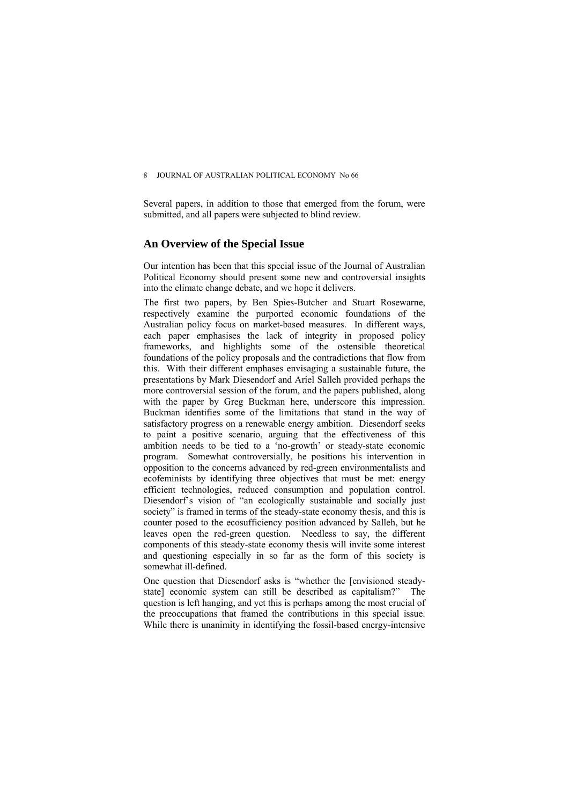#### 8 **JOURNAL OF AUSTRALIAN POLITICAL ECONOMY No 66**

Several papers, in addition to those that emerged from the forum, were submitted, and all papers were subjected to blind review.

### **An Overview of the Special Issue**

Our intention has been that this special issue of the Journal of Australian Political Economy should present some new and controversial insights into the climate change debate, and we hope it delivers.

The first two papers, by Ben Spies-Butcher and Stuart Rosewarne, respectively examine the purported economic foundations of the Australian policy focus on market-based measures. In different ways, each paper emphasises the lack of integrity in proposed policy frameworks, and highlights some of the ostensible theoretical foundations of the policy proposals and the contradictions that flow from this. With their different emphases envisaging a sustainable future, the presentations by Mark Diesendorf and Ariel Salleh provided perhaps the more controversial session of the forum, and the papers published, along with the paper by Greg Buckman here, underscore this impression. Buckman identifies some of the limitations that stand in the way of satisfactory progress on a renewable energy ambition. Diesendorf seeks to paint a positive scenario, arguing that the effectiveness of this ambition needs to be tied to a 'no-growth' or steady-state economic program. Somewhat controversially, he positions his intervention in opposition to the concerns advanced by red-green environmentalists and ecofeminists by identifying three objectives that must be met: energy efficient technologies, reduced consumption and population control. Diesendorf's vision of "an ecologically sustainable and socially just society" is framed in terms of the steady-state economy thesis, and this is counter posed to the ecosufficiency position advanced by Salleh, but he leaves open the red-green question. Needless to say, the different components of this steady-state economy thesis will invite some interest and questioning especially in so far as the form of this society is somewhat ill-defined.

One question that Diesendorf asks is "whether the [envisioned steadystate] economic system can still be described as capitalism?" The question is left hanging, and yet this is perhaps among the most crucial of the preoccupations that framed the contributions in this special issue. While there is unanimity in identifying the fossil-based energy-intensive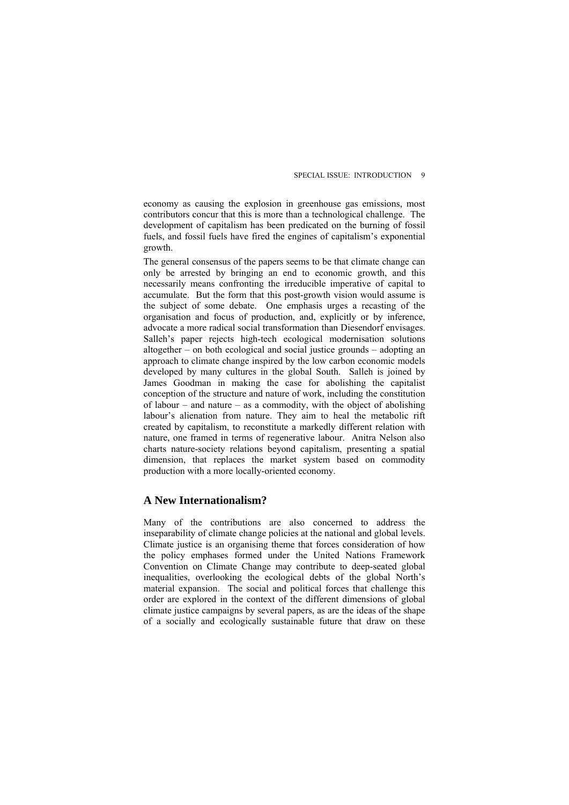economy as causing the explosion in greenhouse gas emissions, most contributors concur that this is more than a technological challenge. The development of capitalism has been predicated on the burning of fossil fuels, and fossil fuels have fired the engines of capitalism's exponential growth.

The general consensus of the papers seems to be that climate change can only be arrested by bringing an end to economic growth, and this necessarily means confronting the irreducible imperative of capital to accumulate. But the form that this post-growth vision would assume is the subject of some debate. One emphasis urges a recasting of the organisation and focus of production, and, explicitly or by inference, advocate a more radical social transformation than Diesendorf envisages. Salleh's paper rejects high-tech ecological modernisation solutions altogether – on both ecological and social justice grounds – adopting an approach to climate change inspired by the low carbon economic models developed by many cultures in the global South. Salleh is joined by James Goodman in making the case for abolishing the capitalist conception of the structure and nature of work, including the constitution of labour – and nature – as a commodity, with the object of abolishing labour's alienation from nature. They aim to heal the metabolic rift created by capitalism, to reconstitute a markedly different relation with nature, one framed in terms of regenerative labour. Anitra Nelson also charts nature-society relations beyond capitalism, presenting a spatial dimension, that replaces the market system based on commodity production with a more locally-oriented economy.

## **A New Internationalism?**

Many of the contributions are also concerned to address the inseparability of climate change policies at the national and global levels. Climate justice is an organising theme that forces consideration of how the policy emphases formed under the United Nations Framework Convention on Climate Change may contribute to deep-seated global inequalities, overlooking the ecological debts of the global North's material expansion. The social and political forces that challenge this order are explored in the context of the different dimensions of global climate justice campaigns by several papers, as are the ideas of the shape of a socially and ecologically sustainable future that draw on these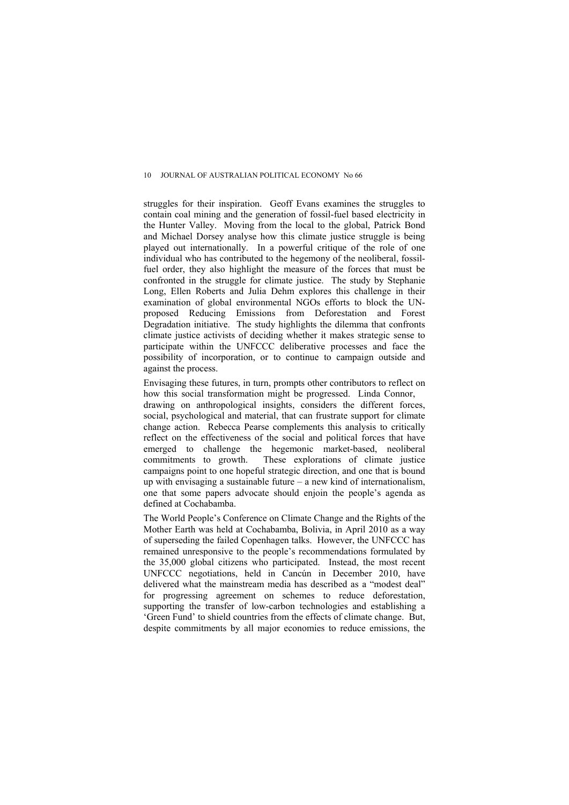struggles for their inspiration. Geoff Evans examines the struggles to contain coal mining and the generation of fossil-fuel based electricity in the Hunter Valley. Moving from the local to the global, Patrick Bond and Michael Dorsey analyse how this climate justice struggle is being played out internationally. In a powerful critique of the role of one individual who has contributed to the hegemony of the neoliberal, fossilfuel order, they also highlight the measure of the forces that must be confronted in the struggle for climate justice. The study by Stephanie Long, Ellen Roberts and Julia Dehm explores this challenge in their examination of global environmental NGOs efforts to block the UNproposed Reducing Emissions from Deforestation and Forest Degradation initiative. The study highlights the dilemma that confronts climate justice activists of deciding whether it makes strategic sense to participate within the UNFCCC deliberative processes and face the possibility of incorporation, or to continue to campaign outside and against the process.

Envisaging these futures, in turn, prompts other contributors to reflect on how this social transformation might be progressed. Linda Connor, drawing on anthropological insights, considers the different forces, social, psychological and material, that can frustrate support for climate change action. Rebecca Pearse complements this analysis to critically reflect on the effectiveness of the social and political forces that have emerged to challenge the hegemonic market-based, neoliberal commitments to growth. These explorations of climate justice campaigns point to one hopeful strategic direction, and one that is bound up with envisaging a sustainable future – a new kind of internationalism, one that some papers advocate should enjoin the people's agenda as defined at Cochabamba.

The World People's Conference on Climate Change and the Rights of the Mother Earth was held at Cochabamba, Bolivia, in April 2010 as a way of superseding the failed Copenhagen talks. However, the UNFCCC has remained unresponsive to the people's recommendations formulated by the 35,000 global citizens who participated. Instead, the most recent UNFCCC negotiations, held in Cancún in December 2010, have delivered what the mainstream media has described as a "modest deal" for progressing agreement on schemes to reduce deforestation supporting the transfer of low-carbon technologies and establishing a 'Green Fund' to shield countries from the effects of climate change. But, despite commitments by all major economies to reduce emissions, the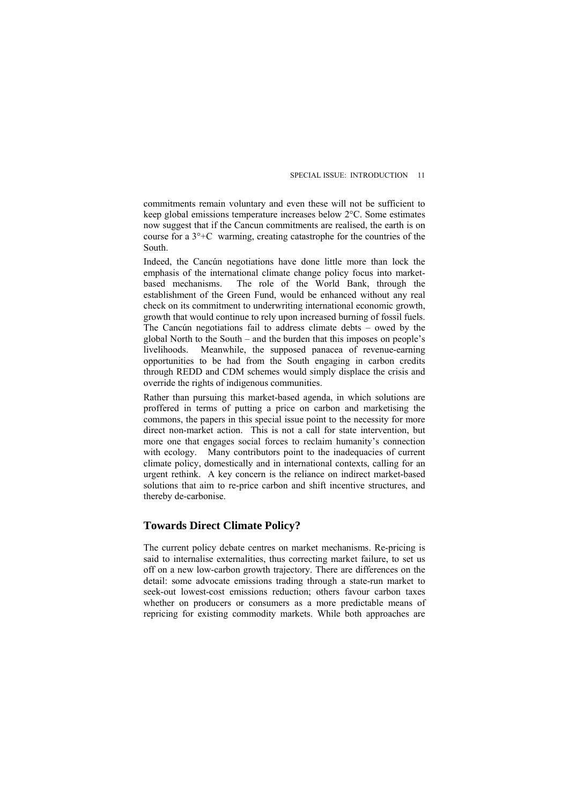commitments remain voluntary and even these will not be sufficient to keep global emissions temperature increases below 2°C. Some estimates now suggest that if the Cancun commitments are realised, the earth is on course for a  $3^\circ$ +C warming, creating catastrophe for the countries of the South.

Indeed, the Cancún negotiations have done little more than lock the emphasis of the international climate change policy focus into marketbased mechanisms. The role of the World Bank, through the establishment of the Green Fund, would be enhanced without any real check on its commitment to underwriting international economic growth, growth that would continue to rely upon increased burning of fossil fuels. The Cancún negotiations fail to address climate debts – owed by the global North to the South – and the burden that this imposes on people's livelihoods. Meanwhile, the supposed panacea of revenue-earning opportunities to be had from the South engaging in carbon credits through REDD and CDM schemes would simply displace the crisis and override the rights of indigenous communities.

Rather than pursuing this market-based agenda, in which solutions are proffered in terms of putting a price on carbon and marketising the commons, the papers in this special issue point to the necessity for more direct non-market action. This is not a call for state intervention, but more one that engages social forces to reclaim humanity's connection with ecology. Many contributors point to the inadequacies of current climate policy, domestically and in international contexts, calling for an urgent rethink. A key concern is the reliance on indirect market-based solutions that aim to re-price carbon and shift incentive structures, and thereby de-carbonise.

### **Towards Direct Climate Policy?**

The current policy debate centres on market mechanisms. Re-pricing is said to internalise externalities, thus correcting market failure, to set us off on a new low-carbon growth trajectory. There are differences on the detail: some advocate emissions trading through a state-run market to seek-out lowest-cost emissions reduction; others favour carbon taxes whether on producers or consumers as a more predictable means of repricing for existing commodity markets. While both approaches are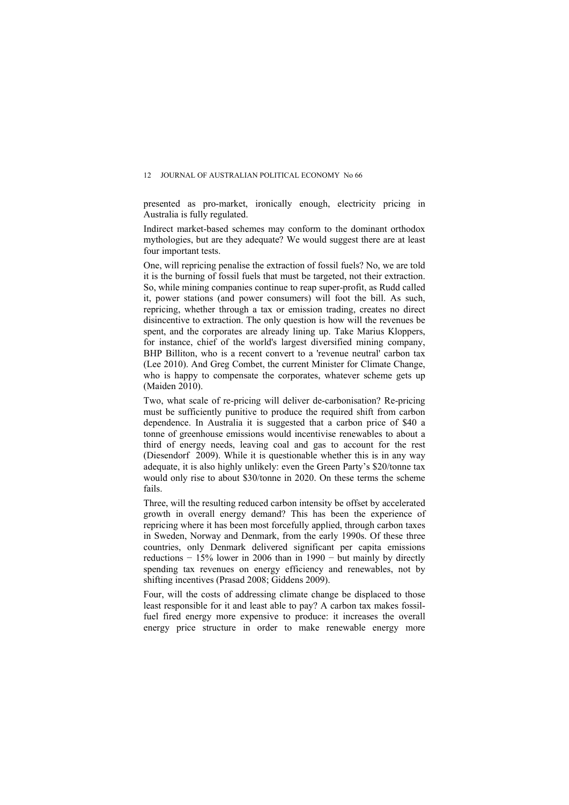presented as pro-market, ironically enough, electricity pricing in Australia is fully regulated.

Indirect market-based schemes may conform to the dominant orthodox mythologies, but are they adequate? We would suggest there are at least four important tests.

One, will repricing penalise the extraction of fossil fuels? No, we are told it is the burning of fossil fuels that must be targeted, not their extraction. So, while mining companies continue to reap super-profit, as Rudd called it, power stations (and power consumers) will foot the bill. As such, repricing, whether through a tax or emission trading, creates no direct disincentive to extraction. The only question is how will the revenues be spent, and the corporates are already lining up. Take Marius Kloppers, for instance, chief of the world's largest diversified mining company, BHP Billiton, who is a recent convert to a 'revenue neutral' carbon tax (Lee 2010). And Greg Combet, the current Minister for Climate Change, who is happy to compensate the corporates, whatever scheme gets up (Maiden 2010).

Two, what scale of re-pricing will deliver de-carbonisation? Re-pricing must be sufficiently punitive to produce the required shift from carbon dependence. In Australia it is suggested that a carbon price of \$40 a tonne of greenhouse emissions would incentivise renewables to about a third of energy needs, leaving coal and gas to account for the rest (Diesendorf 2009). While it is questionable whether this is in any way adequate, it is also highly unlikely: even the Green Party's \$20/tonne tax would only rise to about \$30/tonne in 2020. On these terms the scheme fails.

Three, will the resulting reduced carbon intensity be offset by accelerated growth in overall energy demand? This has been the experience of repricing where it has been most forcefully applied, through carbon taxes in Sweden, Norway and Denmark, from the early 1990s. Of these three countries, only Denmark delivered significant per capita emissions reductions  $-15\%$  lower in 2006 than in 1990  $-$  but mainly by directly spending tax revenues on energy efficiency and renewables, not by shifting incentives (Prasad 2008; Giddens 2009).

Four, will the costs of addressing climate change be displaced to those least responsible for it and least able to pay? A carbon tax makes fossilfuel fired energy more expensive to produce: it increases the overall energy price structure in order to make renewable energy more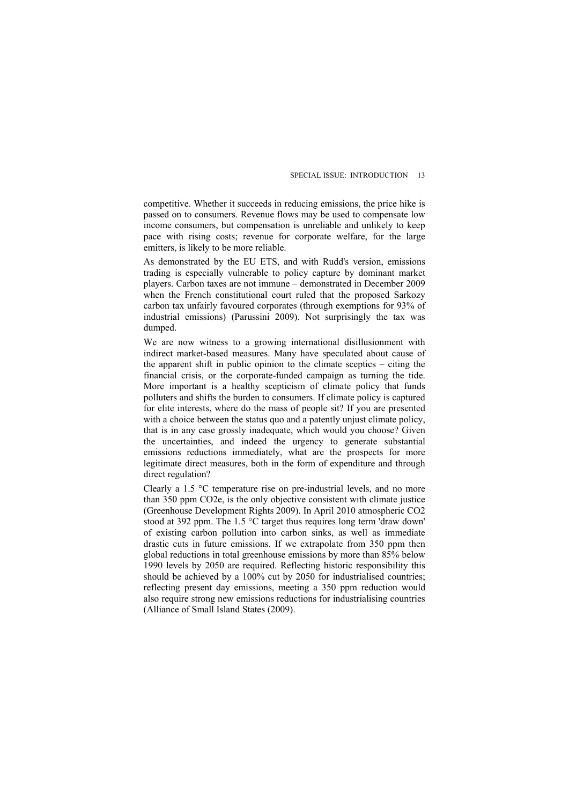competitive. Whether it succeeds in reducing emissions, the price hike is passed on to consumers. Revenue flows may be used to compensate low income consumers, but compensation is unreliable and unlikely to keep pace with rising costs; revenue for corporate welfare, for the large emitters, is likely to be more reliable.

As demonstrated by the EU ETS, and with Rudd's version, emissions trading is especially vulnerable to policy capture by dominant market players. Carbon taxes are not immune – demonstrated in December 2009 when the French constitutional court ruled that the proposed Sarkozy carbon tax unfairly favoured corporates (through exemptions for 93% of industrial emissions) (Parussini 2009). Not surprisingly the tax was dumped.

We are now witness to a growing international disillusionment with indirect market-based measures. Many have speculated about cause of the apparent shift in public opinion to the climate sceptics – citing the financial crisis, or the corporate-funded campaign as turning the tide. More important is a healthy scepticism of climate policy that funds polluters and shifts the burden to consumers. If climate policy is captured for elite interests, where do the mass of people sit? If you are presented with a choice between the status quo and a patently unjust climate policy, that is in any case grossly inadequate, which would you choose? Given the uncertainties, and indeed the urgency to generate substantial emissions reductions immediately, what are the prospects for more legitimate direct measures, both in the form of expenditure and through direct regulation?

Clearly a 1.5 °C temperature rise on pre-industrial levels, and no more than 350 ppm CO2e, is the only objective consistent with climate justice (Greenhouse Development Rights 2009). In April 2010 atmospheric CO2 stood at 392 ppm. The 1.5 °C target thus requires long term 'draw down' of existing carbon pollution into carbon sinks, as well as immediate drastic cuts in future emissions. If we extrapolate from 350 ppm then global reductions in total greenhouse emissions by more than 85% below 1990 levels by 2050 are required. Reflecting historic responsibility this should be achieved by a 100% cut by 2050 for industrialised countries; reflecting present day emissions, meeting a 350 ppm reduction would also require strong new emissions reductions for industrialising countries (Alliance of Small Island States (2009).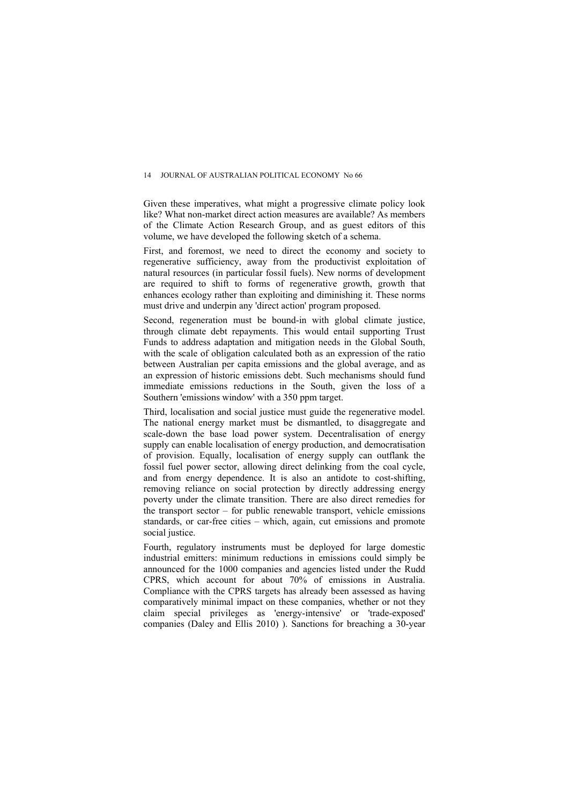Given these imperatives, what might a progressive climate policy look like? What non-market direct action measures are available? As members of the Climate Action Research Group, and as guest editors of this volume, we have developed the following sketch of a schema.

First, and foremost, we need to direct the economy and society to regenerative sufficiency, away from the productivist exploitation of natural resources (in particular fossil fuels). New norms of development are required to shift to forms of regenerative growth, growth that enhances ecology rather than exploiting and diminishing it. These norms must drive and underpin any 'direct action' program proposed.

Second, regeneration must be bound-in with global climate justice, through climate debt repayments. This would entail supporting Trust Funds to address adaptation and mitigation needs in the Global South, with the scale of obligation calculated both as an expression of the ratio between Australian per capita emissions and the global average, and as an expression of historic emissions debt. Such mechanisms should fund immediate emissions reductions in the South, given the loss of a Southern 'emissions window' with a 350 ppm target.

Third, localisation and social justice must guide the regenerative model. The national energy market must be dismantled, to disaggregate and scale-down the base load power system. Decentralisation of energy supply can enable localisation of energy production, and democratisation of provision. Equally, localisation of energy supply can outflank the fossil fuel power sector, allowing direct delinking from the coal cycle, and from energy dependence. It is also an antidote to cost-shifting, removing reliance on social protection by directly addressing energy poverty under the climate transition. There are also direct remedies for the transport sector – for public renewable transport, vehicle emissions standards, or car-free cities – which, again, cut emissions and promote social justice.

Fourth, regulatory instruments must be deployed for large domestic industrial emitters: minimum reductions in emissions could simply be announced for the 1000 companies and agencies listed under the Rudd CPRS, which account for about 70% of emissions in Australia. Compliance with the CPRS targets has already been assessed as having comparatively minimal impact on these companies, whether or not they claim special privileges as 'energy-intensive' or 'trade-exposed' companies (Daley and Ellis 2010) ). Sanctions for breaching a 30-year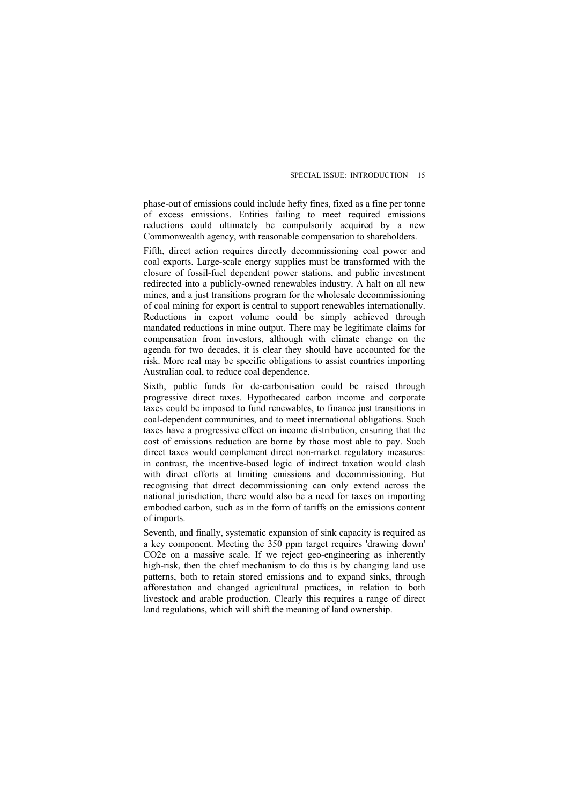phase-out of emissions could include hefty fines, fixed as a fine per tonne of excess emissions. Entities failing to meet required emissions reductions could ultimately be compulsorily acquired by a new Commonwealth agency, with reasonable compensation to shareholders.

Fifth, direct action requires directly decommissioning coal power and coal exports. Large-scale energy supplies must be transformed with the closure of fossil-fuel dependent power stations, and public investment redirected into a publicly-owned renewables industry. A halt on all new mines, and a just transitions program for the wholesale decommissioning of coal mining for export is central to support renewables internationally. Reductions in export volume could be simply achieved through mandated reductions in mine output. There may be legitimate claims for compensation from investors, although with climate change on the agenda for two decades, it is clear they should have accounted for the risk. More real may be specific obligations to assist countries importing Australian coal, to reduce coal dependence.

Sixth, public funds for de-carbonisation could be raised through progressive direct taxes. Hypothecated carbon income and corporate taxes could be imposed to fund renewables, to finance just transitions in coal-dependent communities, and to meet international obligations. Such taxes have a progressive effect on income distribution, ensuring that the cost of emissions reduction are borne by those most able to pay. Such direct taxes would complement direct non-market regulatory measures: in contrast, the incentive-based logic of indirect taxation would clash with direct efforts at limiting emissions and decommissioning. But recognising that direct decommissioning can only extend across the national jurisdiction, there would also be a need for taxes on importing embodied carbon, such as in the form of tariffs on the emissions content of imports.

Seventh, and finally, systematic expansion of sink capacity is required as a key component. Meeting the 350 ppm target requires 'drawing down' CO2e on a massive scale. If we reject geo-engineering as inherently high-risk, then the chief mechanism to do this is by changing land use patterns, both to retain stored emissions and to expand sinks, through afforestation and changed agricultural practices, in relation to both livestock and arable production. Clearly this requires a range of direct land regulations, which will shift the meaning of land ownership.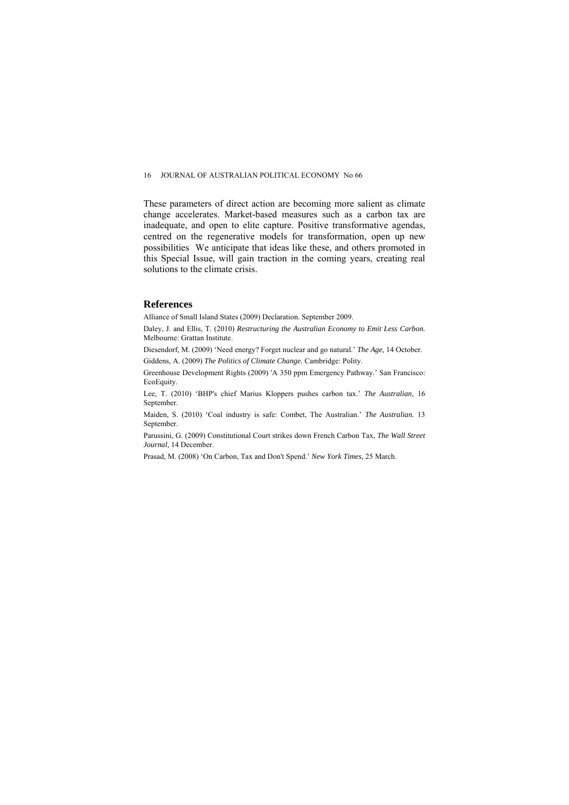#### 16 JOURNAL OF AUSTRALIAN POLITICAL ECONOMY No 66

These parameters of direct action are becoming more salient as climate change accelerates. Market-based measures such as a carbon tax are inadequate, and open to elite capture. Positive transformative agendas, centred on the regenerative models for transformation, open up new possibilities We anticipate that ideas like these, and others promoted in this Special Issue, will gain traction in the coming years, creating real solutions to the climate crisis.

#### **References**

Alliance of Small Island States (2009) Declaration. September 2009.

Daley, J. and Ellis, T. (2010) *Restructuring the Australian Economy to Emit Less Carbon.*  Melbourne: Grattan Institute.

Diesendorf, M. (2009) 'Need energy? Forget nuclear and go natural.' *The Age,* 14 October.

Giddens, A. (2009) *The Politics of Climate Change.* Cambridge: Polity.

Greenhouse Development Rights (2009) 'A 350 ppm Emergency Pathway.' San Francisco: EcoEquity.

Lee, T. (2010) 'BHP's chief Marius Kloppers pushes carbon tax.' *The Australian,* 16 September.

Maiden, S. (2010) 'Coal industry is safe: Combet, The Australian.' *The Australian.* 13 September.

Parussini, G. (2009) Constitutional Court strikes down French Carbon Tax, *The Wall Street Journal,* 14 December.

Prasad, M. (2008) 'On Carbon, Tax and Don't Spend.' *New York Times,* 25 March.